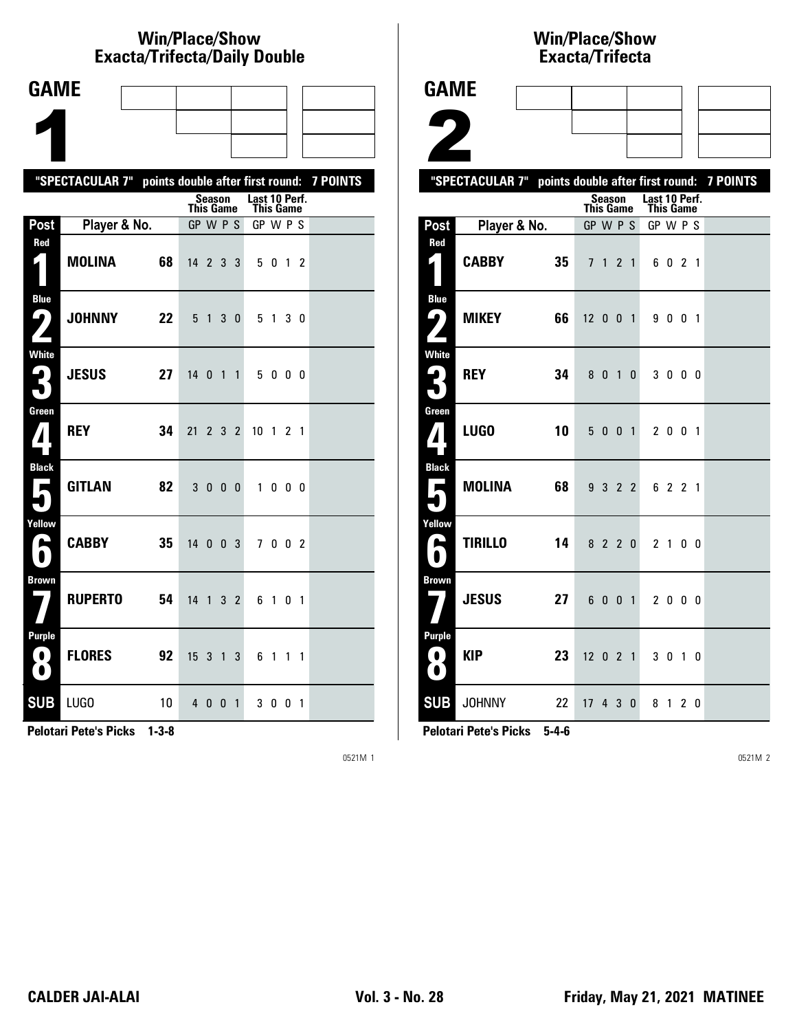# **Win/Place/Show Exacta/Trifecta/Daily Double**

| <b>GAME</b>                             |                                                           |    |                              |                |                |                |                 |                |     |                          |  |
|-----------------------------------------|-----------------------------------------------------------|----|------------------------------|----------------|----------------|----------------|-----------------|----------------|-----|--------------------------|--|
|                                         |                                                           |    |                              |                |                |                |                 |                |     |                          |  |
|                                         |                                                           |    |                              |                |                |                |                 |                |     |                          |  |
|                                         | "SPECTACULAR 7" points double after first round: 7 POINTS |    |                              |                |                |                |                 |                |     |                          |  |
|                                         |                                                           |    |                              | Season         |                |                | Last 10 Perf.   |                |     |                          |  |
| Post                                    | Player & No.                                              |    | <b>This Game</b><br>GP W P S |                |                |                | GP W P S        | This Game      |     |                          |  |
| Red<br>$\zeta$                          | <b>MOLINA</b>                                             | 68 | 14 2 3 3                     |                |                |                |                 | 5 0 1 2        |     |                          |  |
| <b>Blue</b><br>9)                       | <b>JOHNNY</b>                                             | 22 | 5                            | $\overline{1}$ | 3 <sub>0</sub> |                | 5               | $\overline{1}$ | 30  |                          |  |
| <b>White</b><br>2<br>$\bullet$          | <b>JESUS</b>                                              | 27 | 14 <sub>0</sub>              |                |                | $1\quad1$      | 5               |                | 000 |                          |  |
| Green                                   | <b>REY</b>                                                | 34 | 21                           | $\mathbf{2}$   | 3 <sub>2</sub> |                | 10 <sub>1</sub> |                | 2   | $\overline{\phantom{a}}$ |  |
| <b>Black</b><br>Е                       | <b>GITLAN</b>                                             | 82 | 3                            | $\mathbf{0}$   | $0\quad 0$     |                |                 | 1 0 0 0        |     |                          |  |
| Yellow<br>E                             | <b>CABBY</b>                                              | 35 | 14 0 0 3                     |                |                |                |                 | 7002           |     |                          |  |
| <b>Brown</b>                            | <b>RUPERTO</b>                                            | 54 | 14                           | $\mathbf{1}$   |                | 3 <sub>2</sub> | 6               | 10             |     | $\overline{1}$           |  |
| <b>Purple</b><br>$\bullet$<br>$\bullet$ | <b>FLORES</b>                                             | 92 | 15 <sup>15</sup>             | 3              | 1 <sup>3</sup> |                | 6               | $\overline{1}$ | 1   | $\overline{1}$           |  |
| <b>SUB</b>                              | LUGO                                                      | 10 |                              | 4 0 0          |                | $\mathbf{1}$   |                 | 300            |     | $\overline{1}$           |  |

**Pelotari Pete's Picks 1-3-8**

0521M 1

## **Win/Place/Show Exacta/Tri fecta**

| <b>GAME</b>                                     |                                                           |                 |                  |         |  |                                          |         |  |  |
|-------------------------------------------------|-----------------------------------------------------------|-----------------|------------------|---------|--|------------------------------------------|---------|--|--|
|                                                 |                                                           |                 |                  |         |  |                                          |         |  |  |
|                                                 |                                                           |                 |                  |         |  |                                          |         |  |  |
| $\blacktriangle$                                |                                                           |                 |                  |         |  |                                          |         |  |  |
|                                                 | "SPECTACULAR 7" points double after first round: 7 POINTS |                 |                  |         |  |                                          |         |  |  |
|                                                 |                                                           |                 | <b>This Game</b> |         |  | Season Last 10 Perf.<br><b>This Game</b> |         |  |  |
| Post                                            | Player & No.                                              |                 | GP W P S         |         |  | GP W P S                                 |         |  |  |
| Red<br>1                                        | <b>CABBY</b>                                              | 35              |                  | 7 1 2 1 |  |                                          | 6 0 2 1 |  |  |
| <b>Blue</b><br>ر ما<br>$\overline{\phantom{a}}$ | <b>MIKEY</b>                                              | 66              | 12001            |         |  |                                          | 9 0 0 1 |  |  |
| <b>White</b>                                    | <b>REY</b>                                                | 34              |                  | 8 0 1 0 |  |                                          | 3000    |  |  |
| Green<br>$\boldsymbol{\mathcal{U}}$             | <b>LUGO</b>                                               | 10 <sup>°</sup> |                  | 5001    |  |                                          | 2 0 0 1 |  |  |
| <b>Black</b>                                    | MOLINA                                                    | 68              |                  | 9 3 2 2 |  |                                          | 6 2 2 1 |  |  |
| Yellow<br>А                                     | <b>TIRILLO</b>                                            | 14              |                  | 8 2 2 0 |  |                                          | 2 1 0 0 |  |  |
| <b>Brown</b>                                    | <b>JESUS</b>                                              | 27              |                  | 6 0 0 1 |  |                                          | 2 0 0 0 |  |  |
| <b>Purple</b><br>0.<br>Ð                        | <b>KIP</b>                                                | 23              | 12 0 2 1         |         |  |                                          | 3 0 1 0 |  |  |
|                                                 | <b>SUB JOHNNY</b>                                         | 22              | 17 4 3 0         |         |  |                                          | 8 1 2 0 |  |  |

**Pelotari Pete's Picks 5-4-6**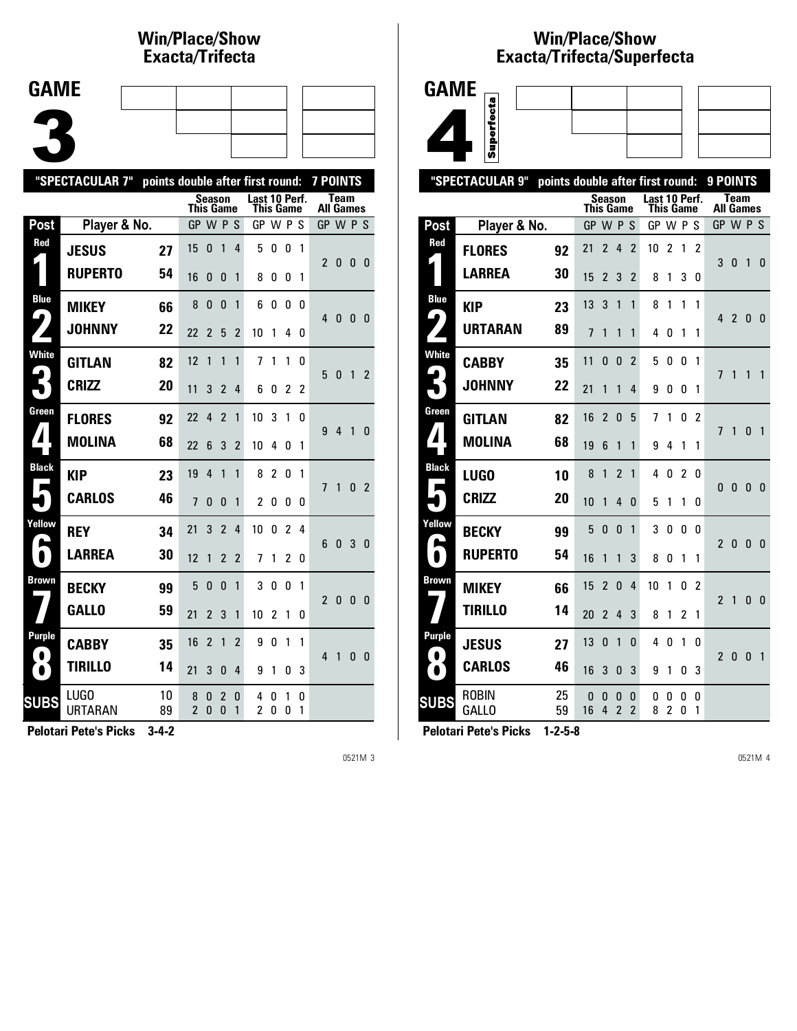### **Win/Place/Show Exacta/Tri fecta**

| <b>GAME</b> |  |  |  |
|-------------|--|--|--|
|             |  |  |  |
|             |  |  |  |
|             |  |  |  |

|                            | "SPECTACULAR 7"<br>7 POINTS<br>points double after first round: |          |                  |                   |                                |                |                                   |                |              |              |                          |              |              |                          |
|----------------------------|-----------------------------------------------------------------|----------|------------------|-------------------|--------------------------------|----------------|-----------------------------------|----------------|--------------|--------------|--------------------------|--------------|--------------|--------------------------|
|                            |                                                                 |          | <b>This Game</b> | <b>Season</b>     |                                |                | Last 10 Perf.<br><b>This Game</b> |                |              |              | <b>All Games</b>         | <b>Team</b>  |              |                          |
| Post                       | Player & No.                                                    |          | GP W P S         |                   |                                |                | GP W P S                          |                |              |              | GP W P S                 |              |              |                          |
| Red                        | <b>JESUS</b>                                                    | 27       | 15               | 0                 | 1                              | 4              | 5                                 | 0              | 0            | $\mathbf{1}$ | $\overline{2}$           | 0            | 0            | - 0                      |
|                            | <b>RUPERTO</b>                                                  | 54       | 16               | 0                 | 0                              | 1              | 8                                 | 0              | 0            | 1            |                          |              |              |                          |
| <b>Blue</b><br>9           | <b>MIKEY</b>                                                    | 66       | 8                | 0                 | 0                              | 1              | 6                                 | 0              | 0            | 0            | 4                        | 0            | 0            | - 0                      |
|                            | <b>JOHNNY</b>                                                   | 22       | 22               | $\overline{2}$    | 5                              | $\overline{2}$ | 10                                | 1              | 4            | 0            |                          |              |              |                          |
| <b>White</b>               | <b>GITLAN</b>                                                   | 82       | 12               | 1                 | $\mathbf{1}$                   | 1              | $\overline{1}$                    | 1              | 1            | 0            | 5                        | 0            | 1            | $\overline{\phantom{a}}$ |
|                            | <b>CRIZZ</b>                                                    | 20       | 11               | 3                 | $\overline{2}$                 | 4              | 6                                 | 0              | 2            | 2            |                          |              |              |                          |
| Green                      | <b>FLORES</b>                                                   | 92       | 22               | 4                 | $\overline{\phantom{a}}$       | 1              | 10                                | 3              | $\mathbf{1}$ | 0            | 9                        | 4            | 1            | $\Omega$                 |
| $\blacktriangle$           | <b>MOLINA</b>                                                   | 68       | 22               | 6                 | 3                              | 2              | 10                                | 4              | 0            | 1            |                          |              |              |                          |
| <b>Black</b><br>Е          | <b>KIP</b>                                                      | 23       | 19               | 4                 | 1                              | 1              | 8                                 | $\overline{2}$ | 0            | 1            | $\overline{1}$           | $\mathbf{1}$ | 0            | $\overline{2}$           |
|                            | <b>CARLOS</b>                                                   | 46       | $\overline{1}$   | 0                 | 0                              | 1              | $\overline{c}$                    | 0              | 0            | 0            |                          |              |              |                          |
| Yellow<br>ß,               | <b>REY</b>                                                      | 34       | 21               | 3                 | $\overline{2}$                 | 4              | 10                                | 0              | 2            | 4            | 6                        | 0            | 3            | $\mathbf{0}$             |
| $\bullet$                  | <b>LARREA</b>                                                   | 30       | 12               | 1                 | $\overline{2}$                 | $\overline{2}$ | 7                                 | 1              | 2            | 0            |                          |              |              |                          |
| Brown                      | <b>BECKY</b>                                                    | 99       | 5                | 0                 | $\mathbf{0}$                   | 1              | 3                                 | 0              | 0            | 1            | $\overline{\phantom{a}}$ | $\mathbf{0}$ | $\mathbf{0}$ | 0                        |
|                            | <b>GALLO</b>                                                    | 59       | 21               | $\overline{2}$    | 3                              | 1              | 10                                | $\overline{2}$ | 1            | 0            |                          |              |              |                          |
| <b>Purple</b><br>$\bullet$ | <b>CABBY</b>                                                    | 35       | 16               | $\overline{2}$    | 1                              | $\overline{2}$ | 9                                 | 0              | 1            | 1            | 4                        | 1            | 0            | - 0                      |
| $\bullet$                  | <b>TIRILLO</b>                                                  | 14       | 21               | 3                 | 0                              | 4              | 9                                 | 1              | 0            | 3            |                          |              |              |                          |
| <b>SUBS</b>                | LUGO<br>URTARAN                                                 | 10<br>89 | 8<br>2           | 0<br>$\mathbf{0}$ | $\overline{2}$<br>$\mathbf{0}$ | 0<br>1         | 4<br>2                            | 0<br>0         | 1<br>0       | 0<br>1       |                          |              |              |                          |
|                            |                                                                 |          |                  |                   |                                |                |                                   |                |              |              |                          |              |              |                          |

**Pelotari Pete's Picks 3-4-2**

0521M 3

#### **Win/Place/Show Exacta/Tri fecta/Super fecta**



|                  | "SPECTACULAR 9"              |          |                  | points double after first round: |                               |                     |                                   |                |        |                | 9 POINTS                 |                          |              |                |
|------------------|------------------------------|----------|------------------|----------------------------------|-------------------------------|---------------------|-----------------------------------|----------------|--------|----------------|--------------------------|--------------------------|--------------|----------------|
|                  |                              |          | <b>This Game</b> |                                  | Season                        |                     | Last 10 Perf.<br><b>This Game</b> |                |        |                |                          | Team<br><b>All Games</b> |              |                |
| Post             | Player & No.                 |          | GP W P S         |                                  |                               |                     | GP W P S                          |                |        |                | GP W P S                 |                          |              |                |
| Red              | <b>FLORES</b>                | 92       | 21               | $\overline{2}$                   | 4                             | $\overline{2}$      | 10                                | $\overline{c}$ | 1      | 2              |                          |                          |              |                |
|                  | LARREA                       | 30       | 15               | 2                                | 3                             | $\overline{2}$      | 8                                 | 1              | 3      | 0              | 3                        | 0                        | 1            | $\Omega$       |
| <b>Blue</b>      | <b>KIP</b>                   | 23       | 13               | 3                                | 1                             | $\mathbf{1}$        | 8                                 | 1              | 1      | 1              |                          |                          |              |                |
| 9                | URTARAN                      | 89       | $\overline{1}$   | 1                                | 1                             | 1                   | 4                                 | 0              | 1      | 1              | 4                        | $\overline{2}$           | 0            | - 0            |
| <b>White</b>     | <b>CABBY</b>                 | 35       | 11               | 0                                | 0                             | $\overline{2}$      | 5                                 | 0              | 0      | 1              | 7                        | $\mathbf{1}$             | 1            | 1              |
|                  | <b>JOHNNY</b>                | 22       | 21               | 1                                | 1                             | 4                   | 9                                 | 0              | 0      | 1              |                          |                          |              |                |
| Green            | <b>GITLAN</b>                | 82       | 16               | $\overline{2}$                   | $\Omega$                      | 5                   | 7                                 | 1              | 0      | $\overline{2}$ | 7                        | 1<br>0                   | $\Omega$     | 1              |
| $\blacktriangle$ | <b>MOLINA</b>                | 68       | 19               | 6                                | 1                             | 1                   | 9                                 | 4              | 1      | 1              |                          |                          |              |                |
| <b>Black</b>     | <b>LUGO</b>                  | 10       | 8                | 1                                | $\overline{2}$                | 1                   | 4                                 | 0              | 2      | 0              | 0                        |                          | $\mathbf{0}$ |                |
| ш                | <b>CRIZZ</b>                 | 20       | 10               | 1                                | 4                             | $\Omega$            | 5                                 | 1              | 1      | 0              |                          |                          |              | 0              |
| Yellow<br>L      | <b>BECKY</b>                 | 99       | 5                | 0                                | 0                             | 1                   | 3                                 | 0              | 0      | 0              | $\overline{\phantom{a}}$ | $\Omega$                 | $\Omega$     | $\overline{0}$ |
|                  | <b>RUPERTO</b>               | 54       | 16               | 1                                | 1                             | 3                   | 8                                 | 0              | 1      | 1              |                          |                          |              |                |
| <b>Brown</b>     | <b>MIKEY</b>                 | 66       | 15               | $\overline{2}$                   | $\Omega$                      | 4                   | 10                                | 1              | 0      | 2              | $\overline{2}$           | 1                        |              |                |
|                  | TIRILLO                      | 14       | 20               | $\overline{2}$                   | 4                             | 3                   | 8                                 | 1              | 2      | 1              |                          |                          | 0            | - 0            |
| <b>Purple</b>    | <b>JESUS</b>                 | 27       | 13               | 0                                | 1                             | 0                   | 4                                 | 0              | 1      | 0              |                          |                          |              |                |
| $\bullet$        | <b>CARLOS</b>                | 46       | 16               | 3                                | 0                             | 3                   | 9                                 | 1              | 0      | 3              | $\mathfrak{p}$           | 0                        | $\mathbf{0}$ | 1              |
| <b>SUBS</b>      | <b>ROBIN</b><br><b>GALLO</b> | 25<br>59 | 0<br>16          | 0<br>4                           | 0<br>$\overline{\phantom{a}}$ | 0<br>$\overline{2}$ | 0<br>8                            | 0<br>2         | 0<br>0 | 0<br>1         |                          |                          |              |                |
|                  |                              |          |                  |                                  |                               |                     |                                   |                |        |                |                          |                          |              |                |

**Pelotari Pete's Picks 1-2-5-8**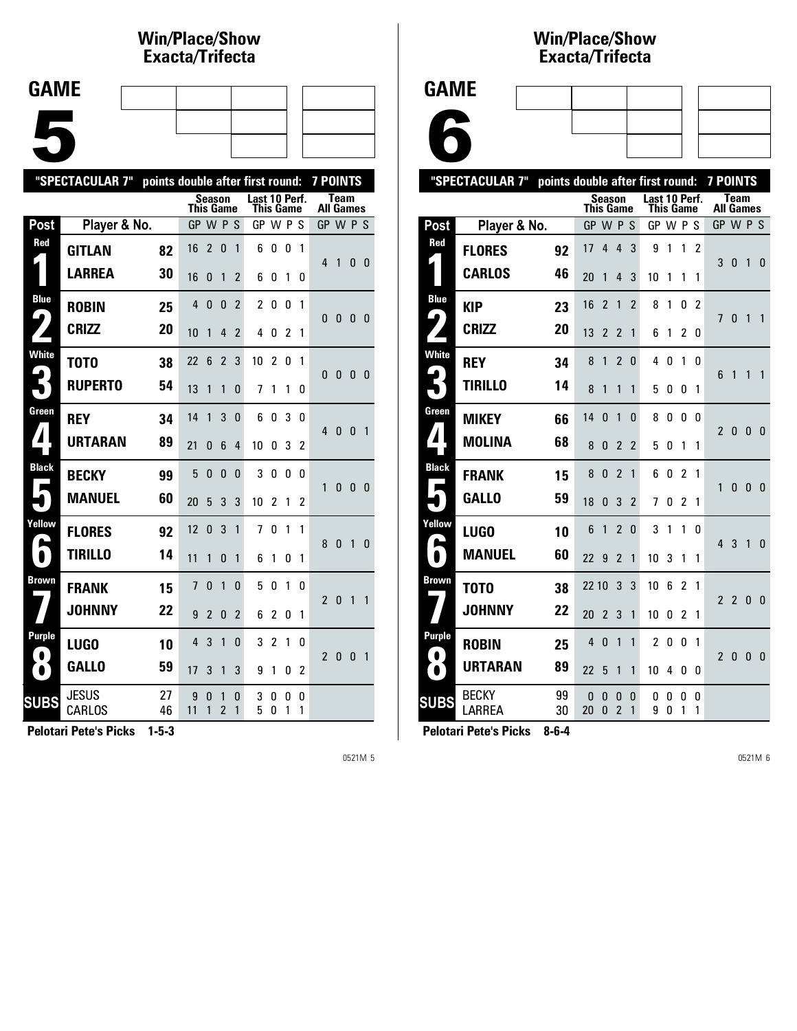## **Win/Place/Show Exacta/Tri fecta**

| <b>GAME</b> |  |  |  |
|-------------|--|--|--|
|             |  |  |  |
|             |  |  |  |
|             |  |  |  |
|             |  |  |  |
|             |  |  |  |
|             |  |  |  |
|             |  |  |  |
|             |  |  |  |

|                            | "SPECTACULAR 7"<br><b>7 POINTS</b><br>points double after first round: |          |                  |                |                     |                |                            |                |        |        |                  |              |              |                |
|----------------------------|------------------------------------------------------------------------|----------|------------------|----------------|---------------------|----------------|----------------------------|----------------|--------|--------|------------------|--------------|--------------|----------------|
|                            |                                                                        |          | <b>This Game</b> | Season         |                     |                | Last 10 Perf.<br>This Game |                |        |        | <b>All Games</b> | <b>Team</b>  |              |                |
| Post                       | Player & No.                                                           |          | GP W P S         |                |                     |                | GP W P S                   |                |        |        | GP W P S         |              |              |                |
| Red                        | <b>GITLAN</b>                                                          | 82       | 16               | $\overline{c}$ | 0                   | 1              | 6                          | 0              | 0      | 1      | 4                |              |              |                |
|                            | <b>LARREA</b>                                                          | 30       | 16               | 0              | 1                   | 2              | 6                          | 0              | 1      | 0      |                  | 1            | 0            | - 0            |
| <b>Blue</b><br>9           | <b>ROBIN</b>                                                           | 25       | 4                | $\mathbf{0}$   | $\mathbf{0}$        | $\overline{2}$ | $\overline{c}$             | 0              | 0      | 1      | 0                | 0            | $\mathbf{0}$ | - 0            |
|                            | <b>CRIZZ</b>                                                           | 20       | 10               | 1              | 4                   | 2              | 4                          | 0              | 2      | 1      |                  |              |              |                |
| <b>White</b>               | T0T0                                                                   | 38       | 22               | 6              | $\overline{c}$      | 3              | 10                         | $\overline{c}$ | 0      | 1      | 0                | $\bf{0}$     | $\mathbf{0}$ | - 0            |
|                            | <b>RUPERTO</b>                                                         | 54       | 13               | 1              | $\mathbf{1}$        | 0              | 7                          | 1              | 1      | 0      |                  |              |              |                |
| Green                      | <b>REY</b>                                                             | 34       | 14               | 1              | 3                   | $\Omega$       | 6                          | 0              | 3      | 0      | 4                | $\mathbf{0}$ | $\mathbf{0}$ | $\overline{1}$ |
| $\mathbf{1}$               | <b>URTARAN</b>                                                         | 89       | 21               | 0              | 6                   | 4              | 10                         | 0              | 3      | 2      |                  |              |              |                |
| <b>Black</b>               | <b>BECKY</b>                                                           | 99       | 5                | 0              | $\Omega$            | $\Omega$       | 3                          | 0              | 0      | 0      | 1                | $\mathbf{0}$ | $\mathbf{0}$ | 0              |
|                            | <b>MANUEL</b>                                                          | 60       | 20               | 5              | 3                   | 3              | 10                         | 2              | 1      | 2      |                  |              |              |                |
| Yellow<br>٠                | <b>FLORES</b>                                                          | 92       | 12               | 0              | 3                   | 1              | 7                          | 0              | 1      | 1      | 8                | $\bf{0}$     | 1            | $\mathbf{0}$   |
| $\bullet$                  | <b>TIRILLO</b>                                                         | 14       | 11               | 1              | $\Omega$            | 1              | 6                          | 1              | 0      | 1      |                  |              |              |                |
| <b>Brown</b>               | <b>FRANK</b>                                                           | 15       | 7                | $\Omega$       | $\mathbf{1}$        | $\Omega$       | 5                          | 0              | 1      | 0      | $\overline{2}$   | $\mathbf{0}$ | $\mathbf{1}$ | $\mathbf{1}$   |
|                            | <b>JOHNNY</b>                                                          | 22       | 9                | $\overline{2}$ | $\Omega$            | $\overline{2}$ | 6                          | $\overline{c}$ | 0      | 1      |                  |              |              |                |
| <b>Purple</b><br>$\bullet$ | <b>LUGO</b>                                                            | 10       | 4                | 3              | $\mathbf{1}$        | 0              | 3                          | $\overline{c}$ | 1      | 0      | $\overline{2}$   | $\bf{0}$     | $\mathbf{0}$ | $\overline{1}$ |
| $\bullet$                  | <b>GALLO</b>                                                           | 59       | 17               | 3              | 1                   | 3              | 9                          | 1              | 0      | 2      |                  |              |              |                |
| <b>SUBS</b>                | <b>JESUS</b><br>CARLOS                                                 | 27<br>46 | 9<br>11          | 0<br>1         | 1<br>$\overline{2}$ | 0<br>1         | 3<br>5                     | 0<br>0         | 0<br>1 | 0<br>1 |                  |              |              |                |

**Pelotari Pete's Picks 1-5-3**

0521M 5

#### **Win/Place/Show Exacta/Tri fecta**

| GAME |
|------|
|------|



|                            | "SPECTACULAR 7"<br>points double after first round: |          |                  |                |                               |                |                |           |                |                | <b>7 POINTS</b>          |                                 |              |              |
|----------------------------|-----------------------------------------------------|----------|------------------|----------------|-------------------------------|----------------|----------------|-----------|----------------|----------------|--------------------------|---------------------------------|--------------|--------------|
|                            |                                                     |          | <b>This Game</b> | Season         |                               |                | Last 10 Perf.  | This Game |                |                |                          | <b>Team</b><br><b>All Games</b> |              |              |
| Post                       | Player & No.                                        |          | GP               | <b>WPS</b>     |                               |                | GP W P S       |           |                |                |                          | GP W P S                        |              |              |
| Red                        | <b>FLORES</b>                                       | 92       | 17               | 4              | 4                             | 3              | 9              | 1         | 1              | $\overline{2}$ |                          |                                 |              |              |
|                            | <b>CARLOS</b>                                       | 46       | 20               | 1              | 4                             | 3              | 10             | 1         | 1              | 1              | 3                        | $\mathbf{0}$                    | 1            | $\mathbf{0}$ |
| <b>Blue</b>                | <b>KIP</b>                                          | 23       | 16               | $\overline{2}$ | 1                             | $\overline{2}$ | 8              | 1         | 0              | $\mathfrak z$  |                          |                                 |              |              |
| 4                          | <b>CRIZZ</b>                                        | 20       | 13               | 2              | 2                             | 1              | 6              | 1         | 2              | 0              | 7                        | $\mathbf{0}$                    | 1            | 1            |
| <b>White</b><br>ها         | <b>REY</b>                                          | 34       | 8                | 1              | $\overline{2}$                | $\mathbf{0}$   | 4              | 0         | 1              | 0              |                          |                                 |              |              |
|                            | TIRILLO                                             | 14       | 8                | 1              | 1                             | 1              | 5              | 0         | 0              | 1              | 6                        | 1                               | 1            | 1            |
| Green                      | <b>MIKEY</b>                                        | 66       | 14               | $\Omega$       | 1                             | $\Omega$       | 8              | 0         | 0              | 0              | $\overline{2}$           | $\mathbf{0}$                    | 0            | $\mathbf{0}$ |
| 7                          | <b>MOLINA</b>                                       | 68       | 8                | 0              | 2                             | $\overline{2}$ | 5              | 0         | 1              | 1              |                          |                                 |              |              |
| <b>Black</b><br>Е          | <b>FRANK</b>                                        | 15       | 8                | $\Omega$       | $\overline{\phantom{a}}$      | 1              | 6              | 0         | 2              | 1              | $\mathbf{1}$             | $\mathbf{0}$                    | $\mathbf{0}$ | $\mathbf{0}$ |
|                            | <b>GALLO</b>                                        | 59       | 18               | 0              | 3                             | $\overline{2}$ | 7              | 0         | 2              | 1              |                          |                                 |              |              |
| Yellow                     | <b>LUGO</b>                                         | 10       | 6                | 1              | 2                             | $\Omega$       | 3              | 1         | 1              | 0              | 4                        | 3                               | $\mathbf{1}$ | $\mathbf{0}$ |
|                            | <b>MANUEL</b>                                       | 60       | 22               | 9              | $\overline{2}$                | 1              | 10             | 3         | 1              | 1              |                          |                                 |              |              |
| Brown                      | T0T0                                                | 38       | 22 10            |                | 3                             | 3              | 10             | 6         | $\overline{2}$ | 1              | $\overline{2}$           | $\overline{2}$                  | 0            | 0            |
|                            | <b>JOHNNY</b>                                       | 22       | 20               | $\overline{2}$ | 3                             | 1              | 10             | 0         | 2              | 1              |                          |                                 |              |              |
| <b>Purple</b><br>$\bullet$ | <b>ROBIN</b>                                        | 25       | 4                | $\mathbf{0}$   | 1                             | 1              | $\overline{2}$ | 0         | 0              | 1              | $\overline{\phantom{a}}$ |                                 | $\Omega$     | $\mathbf{0}$ |
| $\bullet$                  | <b>URTARAN</b>                                      | 89       | 22               | 5              | 1                             | 1              | 10             | 4         | 0              | 0              |                          | 0                               |              |              |
| <b>SUBS</b>                | BECKY<br>LARREA                                     | 99<br>30 | 0<br>20          | 0<br>0         | 0<br>$\overline{\mathcal{C}}$ | 0<br>1         | 0<br>9         | O<br>0    | 0<br>1         | 0<br>1         |                          |                                 |              |              |
|                            |                                                     |          |                  |                |                               |                |                |           |                |                |                          |                                 |              |              |

**Pelotari Pete's Picks 8-6-4**